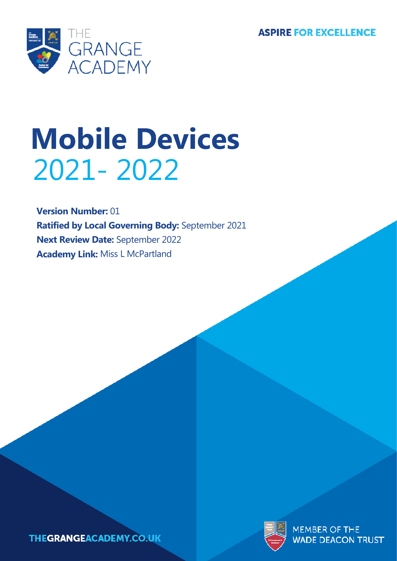**ASPIRE FOR EXCELLENCE** 



# **Mobile Devices** 2021- 2022

**Version Number:** 01 **Ratified by Local Governing Body:** September 2021 **Next Review Date:** September 2022 **Academy Link:** Miss L McPartland



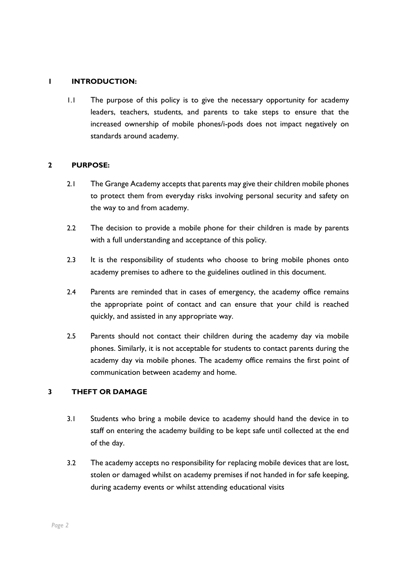#### **1 INTRODUCTION:**

1.1 The purpose of this policy is to give the necessary opportunity for academy leaders, teachers, students, and parents to take steps to ensure that the increased ownership of mobile phones/i-pods does not impact negatively on standards around academy.

#### **2 PURPOSE:**

- 2.1 The Grange Academy accepts that parents may give their children mobile phones to protect them from everyday risks involving personal security and safety on the way to and from academy.
- 2.2 The decision to provide a mobile phone for their children is made by parents with a full understanding and acceptance of this policy.
- 2.3 It is the responsibility of students who choose to bring mobile phones onto academy premises to adhere to the guidelines outlined in this document.
- 2.4 Parents are reminded that in cases of emergency, the academy office remains the appropriate point of contact and can ensure that your child is reached quickly, and assisted in any appropriate way.
- 2.5 Parents should not contact their children during the academy day via mobile phones. Similarly, it is not acceptable for students to contact parents during the academy day via mobile phones. The academy office remains the first point of communication between academy and home.

# **3 THEFT OR DAMAGE**

- 3.1 Students who bring a mobile device to academy should hand the device in to staff on entering the academy building to be kept safe until collected at the end of the day.
- 3.2 The academy accepts no responsibility for replacing mobile devices that are lost, stolen or damaged whilst on academy premises if not handed in for safe keeping, during academy events or whilst attending educational visits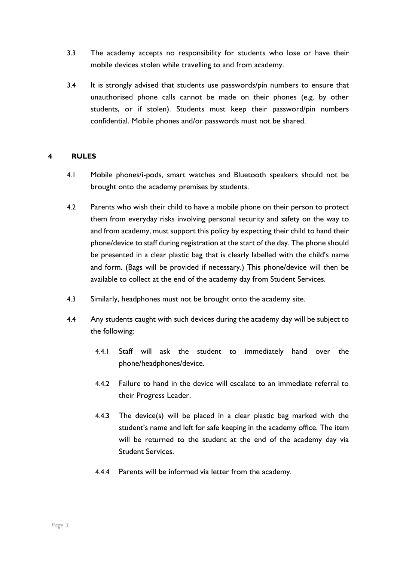- 3.3 The academy accepts no responsibility for students who lose or have their mobile devices stolen while travelling to and from academy.
- 3.4 It is strongly advised that students use passwords/pin numbers to ensure that unauthorised phone calls cannot be made on their phones (e.g. by other students, or if stolen). Students must keep their password/pin numbers confidential. Mobile phones and/or passwords must not be shared.

### **4 RULES**

- 4.1 Mobile phones/i-pods, smart watches and Bluetooth speakers should not be brought onto the academy premises by students.
- 4.2 Parents who wish their child to have a mobile phone on their person to protect them from everyday risks involving personal security and safety on the way to and from academy, must support this policy by expecting their child to hand their phone/device to staff during registration at the start of the day. The phone should be presented in a clear plastic bag that is clearly labelled with the child's name and form. (Bags will be provided if necessary.) This phone/device will then be available to collect at the end of the academy day from Student Services.
- 4.3 Similarly, headphones must not be brought onto the academy site.
- 4.4 Any students caught with such devices during the academy day will be subject to the following:
	- 4.4.1 Staff will ask the student to immediately hand over the phone/headphones/device.
	- 4.4.2 Failure to hand in the device will escalate to an immediate referral to their Progress Leader.
	- 4.4.3 The device(s) will be placed in a clear plastic bag marked with the student's name and left for safe keeping in the academy office. The item will be returned to the student at the end of the academy day via Student Services.
	- 4.4.4 Parents will be informed via letter from the academy.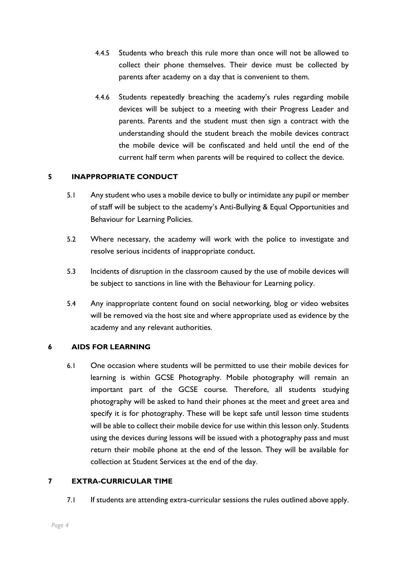- 4.4.5 Students who breach this rule more than once will not be allowed to collect their phone themselves. Their device must be collected by parents after academy on a day that is convenient to them.
- 4.4.6 Students repeatedly breaching the academy's rules regarding mobile devices will be subject to a meeting with their Progress Leader and parents. Parents and the student must then sign a contract with the understanding should the student breach the mobile devices contract the mobile device will be confiscated and held until the end of the current half term when parents will be required to collect the device.

# **5 INAPPROPRIATE CONDUCT**

- 5.1 Any student who uses a mobile device to bully or intimidate any pupil or member of staff will be subject to the academy's Anti-Bullying & Equal Opportunities and Behaviour for Learning Policies.
- 5.2 Where necessary, the academy will work with the police to investigate and resolve serious incidents of inappropriate conduct.
- 5.3 Incidents of disruption in the classroom caused by the use of mobile devices will be subject to sanctions in line with the Behaviour for Learning policy.
- 5.4 Any inappropriate content found on social networking, blog or video websites will be removed via the host site and where appropriate used as evidence by the academy and any relevant authorities.

# **6 AIDS FOR LEARNING**

6.1 One occasion where students will be permitted to use their mobile devices for learning is within GCSE Photography. Mobile photography will remain an important part of the GCSE course. Therefore, all students studying photography will be asked to hand their phones at the meet and greet area and specify it is for photography. These will be kept safe until lesson time students will be able to collect their mobile device for use within this lesson only. Students using the devices during lessons will be issued with a photography pass and must return their mobile phone at the end of the lesson. They will be available for collection at Student Services at the end of the day.

#### **7 EXTRA-CURRICULAR TIME**

7.1 If students are attending extra-curricular sessions the rules outlined above apply.